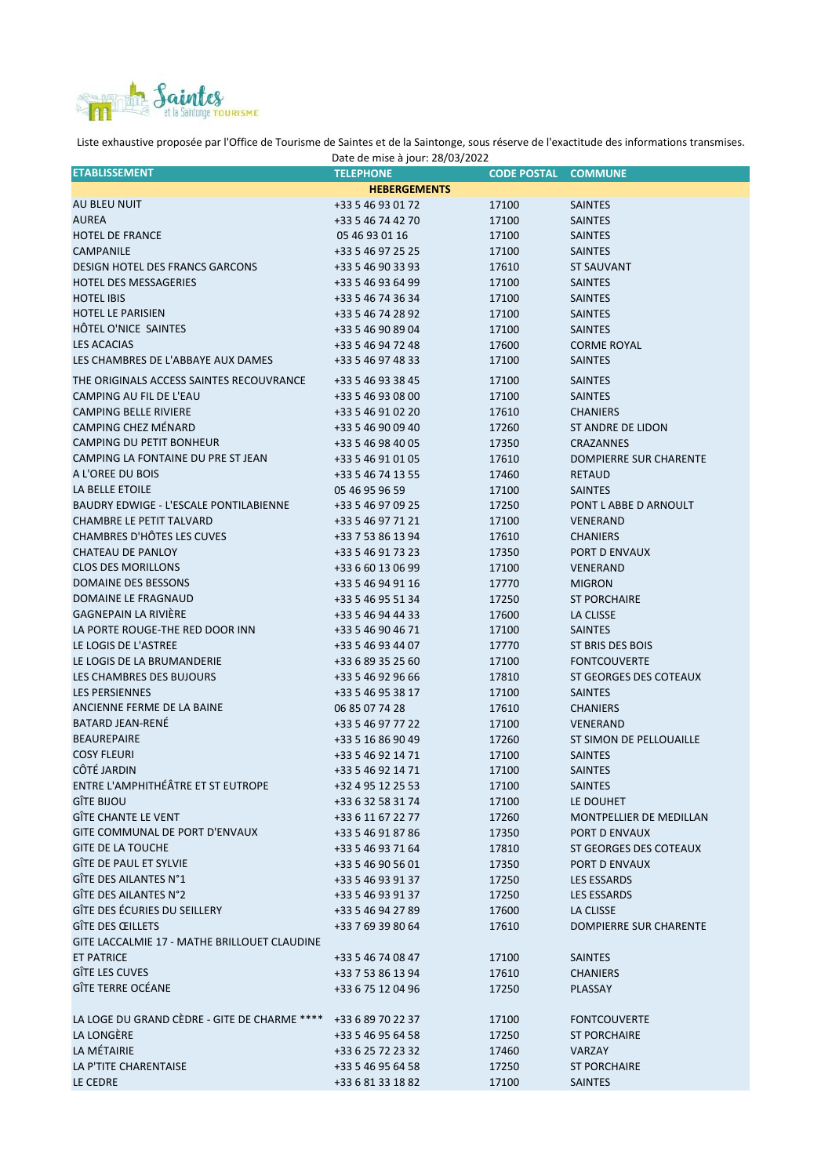

Liste exhaustive proposée par l'Office de Tourisme de Saintes et de la Saintonge, sous réserve de l'exactitude des informations transmises.

| Date de mise à jour: 28/03/2022               |                     |                    |                                |  |
|-----------------------------------------------|---------------------|--------------------|--------------------------------|--|
| <b>ETABLISSEMENT</b>                          | <b>TELEPHONE</b>    | <b>CODE POSTAL</b> | <b>COMMUNE</b>                 |  |
|                                               | <b>HEBERGEMENTS</b> |                    |                                |  |
| AU BLEU NUIT                                  | +33 5 46 93 01 72   | 17100              | <b>SAINTES</b>                 |  |
| <b>AUREA</b>                                  | +33 5 46 74 42 70   | 17100              | <b>SAINTES</b>                 |  |
| <b>HOTEL DE FRANCE</b>                        | 05 46 93 01 16      | 17100              | <b>SAINTES</b>                 |  |
| CAMPANILE                                     | +33 5 46 97 25 25   | 17100              | <b>SAINTES</b>                 |  |
|                                               |                     |                    |                                |  |
| <b>DESIGN HOTEL DES FRANCS GARCONS</b>        | +33 5 46 90 33 93   | 17610              | <b>ST SAUVANT</b>              |  |
| <b>HOTEL DES MESSAGERIES</b>                  | +33 5 46 93 64 99   | 17100              | <b>SAINTES</b>                 |  |
| <b>HOTEL IBIS</b>                             | +33 5 46 74 36 34   | 17100              | <b>SAINTES</b>                 |  |
| <b>HOTEL LE PARISIEN</b>                      | +33 5 46 74 28 92   | 17100              | <b>SAINTES</b>                 |  |
| HÔTEL O'NICE SAINTES                          | +33 5 46 90 89 04   | 17100              | <b>SAINTES</b>                 |  |
| <b>LES ACACIAS</b>                            | +33 5 46 94 72 48   | 17600              | <b>CORME ROYAL</b>             |  |
| LES CHAMBRES DE L'ABBAYE AUX DAMES            | +33 5 46 97 48 33   | 17100              | <b>SAINTES</b>                 |  |
| THE ORIGINALS ACCESS SAINTES RECOUVRANCE      | +33 5 46 93 38 45   | 17100              | <b>SAINTES</b>                 |  |
| CAMPING AU FIL DE L'EAU                       | +33 5 46 93 08 00   | 17100              | <b>SAINTES</b>                 |  |
|                                               |                     |                    |                                |  |
| <b>CAMPING BELLE RIVIERE</b>                  | +33 5 46 91 02 20   | 17610              | <b>CHANIERS</b>                |  |
| CAMPING CHEZ MÉNARD                           | +33 5 46 90 09 40   | 17260              | <b>ST ANDRE DE LIDON</b>       |  |
| CAMPING DU PETIT BONHEUR                      | +33 5 46 98 40 05   | 17350              | <b>CRAZANNES</b>               |  |
| CAMPING LA FONTAINE DU PRE ST JEAN            | +33 5 46 91 01 05   | 17610              | <b>DOMPIERRE SUR CHARENTE</b>  |  |
| A L'OREE DU BOIS                              | +33 5 46 74 13 55   | 17460              | <b>RETAUD</b>                  |  |
| LA BELLE ETOILE                               | 05 46 95 96 59      | 17100              | <b>SAINTES</b>                 |  |
| <b>BAUDRY EDWIGE - L'ESCALE PONTILABIENNE</b> | +33 5 46 97 09 25   | 17250              | PONT L ABBE D ARNOULT          |  |
| <b>CHAMBRE LE PETIT TALVARD</b>               | +33 5 46 97 71 21   | 17100              | <b>VENERAND</b>                |  |
| CHAMBRES D'HÔTES LES CUVES                    | +33 7 53 86 13 94   | 17610              | <b>CHANIERS</b>                |  |
| CHATEAU DE PANLOY                             | +33 5 46 91 73 23   | 17350              | PORT D ENVAUX                  |  |
|                                               |                     |                    |                                |  |
| <b>CLOS DES MORILLONS</b>                     | +33 6 60 13 06 99   | 17100              | <b>VENERAND</b>                |  |
| DOMAINE DES BESSONS                           | +33 5 46 94 91 16   | 17770              | <b>MIGRON</b>                  |  |
| DOMAINE LE FRAGNAUD                           | +33 5 46 95 51 34   | 17250              | <b>ST PORCHAIRE</b>            |  |
| <b>GAGNEPAIN LA RIVIÈRE</b>                   | +33 5 46 94 44 33   | 17600              | LA CLISSE                      |  |
| LA PORTE ROUGE-THE RED DOOR INN               | +33 5 46 90 46 71   | 17100              | <b>SAINTES</b>                 |  |
| LE LOGIS DE L'ASTREE                          | +33 5 46 93 44 07   | 17770              | ST BRIS DES BOIS               |  |
| LE LOGIS DE LA BRUMANDERIE                    | +33 6 89 35 25 60   | 17100              | <b>FONTCOUVERTE</b>            |  |
| LES CHAMBRES DES BUJOURS                      | +33 5 46 92 96 66   | 17810              | ST GEORGES DES COTEAUX         |  |
| <b>LES PERSIENNES</b>                         | +33 5 46 95 38 17   | 17100              | <b>SAINTES</b>                 |  |
| ANCIENNE FERME DE LA BAINE                    | 06 85 07 74 28      | 17610              | <b>CHANIERS</b>                |  |
| <b>BATARD JEAN-RENÉ</b>                       |                     |                    |                                |  |
|                                               | +33 5 46 97 77 22   | 17100              | VENERAND                       |  |
| <b>BEAUREPAIRE</b>                            | +33 5 16 86 90 49   | 17260              | <b>ST SIMON DE PELLOUAILLE</b> |  |
| <b>COSY FLEURI</b>                            | +33 5 46 92 14 71   | 17100              | <b>SAINTES</b>                 |  |
| CÔTÉ JARDIN                                   | +33 5 46 92 14 71   | 17100              | <b>SAINTES</b>                 |  |
| ENTRE L'AMPHITHÉÂTRE ET ST EUTROPE            | +32 4 95 12 25 53   | 17100              | <b>SAINTES</b>                 |  |
| <b>GÎTE BIJOU</b>                             | +33 6 32 58 31 74   | 17100              | LE DOUHET                      |  |
| <b>GÎTE CHANTE LE VENT</b>                    | +33 6 11 67 22 77   | 17260              | MONTPELLIER DE MEDILLAN        |  |
| GITE COMMUNAL DE PORT D'ENVAUX                | +33 5 46 91 87 86   | 17350              | PORT D ENVAUX                  |  |
| <b>GITE DE LA TOUCHE</b>                      | +33 5 46 93 71 64   | 17810              | ST GEORGES DES COTEAUX         |  |
| GÎTE DE PAUL ET SYLVIE                        | +33 5 46 90 56 01   | 17350              | PORT D ENVAUX                  |  |
| GÎTE DES AILANTES N°1                         | +33 5 46 93 91 37   | 17250              | LES ESSARDS                    |  |
| GÎTE DES AILANTES N°2                         |                     |                    |                                |  |
| GÎTE DES ÉCURIES DU SEILLERY                  | +33 5 46 93 91 37   | 17250              | LES ESSARDS                    |  |
|                                               | +33 5 46 94 27 89   | 17600              | LA CLISSE                      |  |
| GÎTE DES ŒILLETS                              | +33 7 69 39 80 64   | 17610              | <b>DOMPIERRE SUR CHARENTE</b>  |  |
| GITE LACCALMIE 17 - MATHE BRILLOUET CLAUDINE  |                     |                    |                                |  |
| <b>ET PATRICE</b>                             | +33 5 46 74 08 47   | 17100              | <b>SAINTES</b>                 |  |
| GÎTE LES CUVES                                | +33 7 53 86 13 94   | 17610              | <b>CHANIERS</b>                |  |
| <b>GÎTE TERRE OCÉANE</b>                      | +33 6 75 12 04 96   | 17250              | PLASSAY                        |  |
|                                               |                     |                    |                                |  |
| LA LOGE DU GRAND CÈDRE - GITE DE CHARME ****  | +33 6 89 70 22 37   | 17100              | <b>FONTCOUVERTE</b>            |  |
| LA LONGÈRE                                    | +33 5 46 95 64 58   | 17250              | <b>ST PORCHAIRE</b>            |  |
| LA MÉTAIRIE                                   | +33 6 25 72 23 32   | 17460              | <b>VARZAY</b>                  |  |
| LA P'TITE CHARENTAISE                         | +33 5 46 95 64 58   | 17250              | <b>ST PORCHAIRE</b>            |  |
| LE CEDRE                                      | +33 6 81 33 18 82   | 17100              | SAINTES                        |  |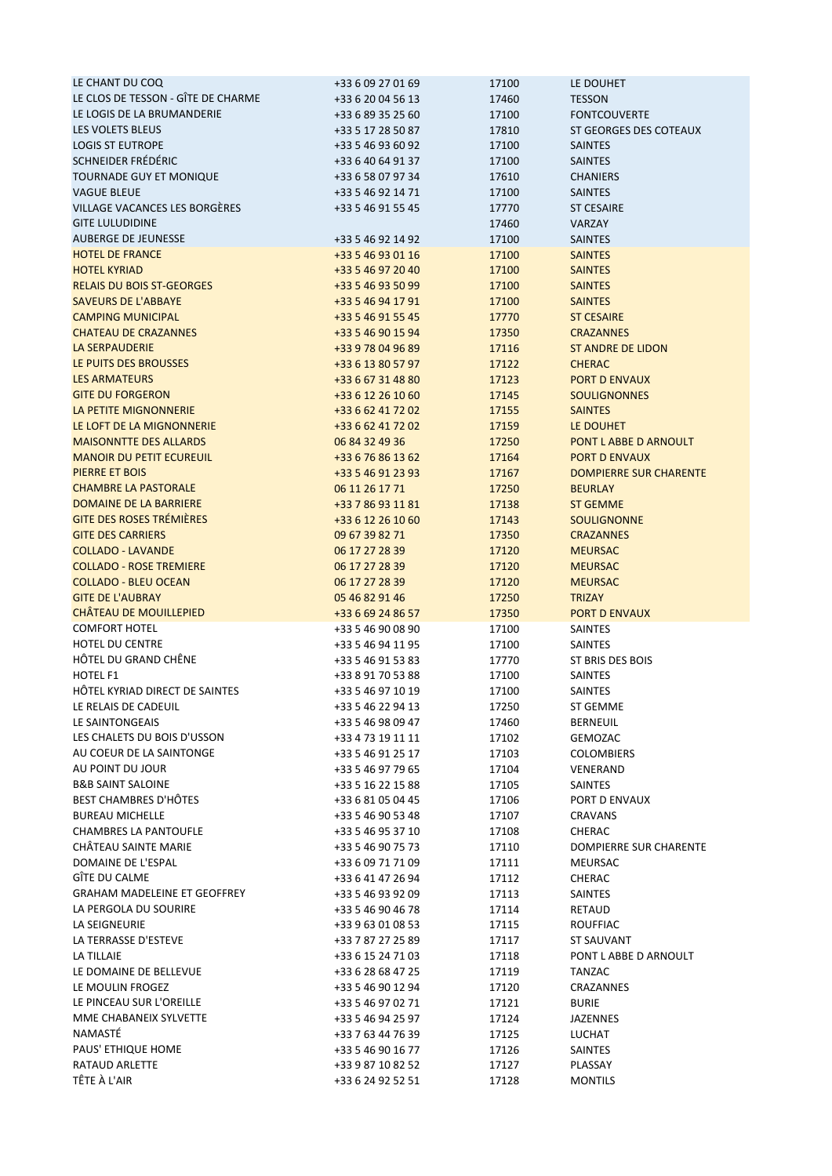| LE CHANT DU COQ                     | +33 6 09 27 01 69 | 17100 | LE DOUHET                     |
|-------------------------------------|-------------------|-------|-------------------------------|
| LE CLOS DE TESSON - GÎTE DE CHARME  | +33 6 20 04 56 13 | 17460 | <b>TESSON</b>                 |
| LE LOGIS DE LA BRUMANDERIE          | +33 6 89 35 25 60 | 17100 | <b>FONTCOUVERTE</b>           |
| LES VOLETS BLEUS                    | +33 5 17 28 50 87 | 17810 | ST GEORGES DES COTEAUX        |
| <b>LOGIS ST EUTROPE</b>             | +33 5 46 93 60 92 | 17100 | <b>SAINTES</b>                |
| SCHNEIDER FRÉDÉRIC                  | +33 6 40 64 91 37 | 17100 | <b>SAINTES</b>                |
| TOURNADE GUY ET MONIQUE             | +33 6 58 07 97 34 | 17610 | <b>CHANIERS</b>               |
| <b>VAGUE BLEUE</b>                  | +33 5 46 92 14 71 | 17100 | <b>SAINTES</b>                |
| VILLAGE VACANCES LES BORGÈRES       | +33 5 46 91 55 45 | 17770 | <b>ST CESAIRE</b>             |
| <b>GITE LULUDIDINE</b>              |                   | 17460 | VARZAY                        |
| <b>AUBERGE DE JEUNESSE</b>          | +33 5 46 92 14 92 | 17100 | <b>SAINTES</b>                |
| <b>HOTEL DE FRANCE</b>              | +33 5 46 93 01 16 | 17100 | <b>SAINTES</b>                |
| <b>HOTEL KYRIAD</b>                 | +33 5 46 97 20 40 | 17100 | <b>SAINTES</b>                |
| <b>RELAIS DU BOIS ST-GEORGES</b>    | +33 5 46 93 50 99 | 17100 | <b>SAINTES</b>                |
| <b>SAVEURS DE L'ABBAYE</b>          | +33 5 46 94 17 91 | 17100 | <b>SAINTES</b>                |
| <b>CAMPING MUNICIPAL</b>            | +33 5 46 91 55 45 | 17770 | <b>ST CESAIRE</b>             |
| <b>CHATEAU DE CRAZANNES</b>         | +33 5 46 90 15 94 | 17350 | <b>CRAZANNES</b>              |
| <b>LA SERPAUDERIE</b>               | +33 9 78 04 96 89 | 17116 | <b>ST ANDRE DE LIDON</b>      |
| LE PUITS DES BROUSSES               | +33 6 13 80 57 97 | 17122 | <b>CHERAC</b>                 |
| <b>LES ARMATEURS</b>                | +33 6 67 31 48 80 | 17123 | <b>PORT D ENVAUX</b>          |
| <b>GITE DU FORGERON</b>             | +33 6 12 26 10 60 | 17145 | <b>SOULIGNONNES</b>           |
| LA PETITE MIGNONNERIE               | +33 6 62 41 72 02 | 17155 | <b>SAINTES</b>                |
| LE LOFT DE LA MIGNONNERIE           | +33 6 62 41 72 02 | 17159 | LE DOUHET                     |
| <b>MAISONNTTE DES ALLARDS</b>       | 06 84 32 49 36    | 17250 | PONT L ABBE D ARNOULT         |
| <b>MANOIR DU PETIT ECUREUIL</b>     | +33 6 76 86 13 62 | 17164 | <b>PORT D ENVAUX</b>          |
| PIERRE ET BOIS                      | +33 5 46 91 23 93 |       | <b>DOMPIERRE SUR CHARENTE</b> |
| <b>CHAMBRE LA PASTORALE</b>         |                   | 17167 |                               |
| DOMAINE DE LA BARRIERE              | 06 11 26 17 71    | 17250 | <b>BEURLAY</b>                |
|                                     | +33 7 86 93 11 81 | 17138 | <b>ST GEMME</b>               |
| <b>GITE DES ROSES TRÉMIÈRES</b>     | +33 6 12 26 10 60 | 17143 | <b>SOULIGNONNE</b>            |
| <b>GITE DES CARRIERS</b>            | 09 67 39 82 71    | 17350 | <b>CRAZANNES</b>              |
| <b>COLLADO - LAVANDE</b>            | 06 17 27 28 39    | 17120 | <b>MEURSAC</b>                |
| <b>COLLADO - ROSE TREMIERE</b>      | 06 17 27 28 39    | 17120 | <b>MEURSAC</b>                |
| <b>COLLADO - BLEU OCEAN</b>         | 06 17 27 28 39    | 17120 | <b>MEURSAC</b>                |
| <b>GITE DE L'AUBRAY</b>             | 05 46 82 91 46    | 17250 | <b>TRIZAY</b>                 |
|                                     |                   |       |                               |
| <b>CHÂTEAU DE MOUILLEPIED</b>       | +33 6 69 24 86 57 | 17350 | <b>PORT D ENVAUX</b>          |
| <b>COMFORT HOTEL</b>                | +33 5 46 90 08 90 | 17100 | <b>SAINTES</b>                |
| HOTEL DU CENTRE                     | +33 5 46 94 11 95 | 17100 | SAINTES                       |
| HÔTEL DU GRAND CHÊNE                | +33 5 46 91 53 83 | 17770 | ST BRIS DES BOIS              |
| HOTEL F1                            | +33 8 91 70 53 88 | 17100 | <b>SAINTES</b>                |
| HÔTEL KYRIAD DIRECT DE SAINTES      | +33 5 46 97 10 19 | 17100 | <b>SAINTES</b>                |
| LE RELAIS DE CADEUIL                | +33 5 46 22 94 13 | 17250 | ST GEMME                      |
| LE SAINTONGEAIS                     | +33 5 46 98 09 47 | 17460 | <b>BERNEUIL</b>               |
| LES CHALETS DU BOIS D'USSON         | +33 4 73 19 11 11 | 17102 | GEMOZAC                       |
| AU COEUR DE LA SAINTONGE            | +33 5 46 91 25 17 | 17103 | <b>COLOMBIERS</b>             |
| AU POINT DU JOUR                    | +33 5 46 97 79 65 | 17104 | VENERAND                      |
| <b>B&amp;B SAINT SALOINE</b>        | +33 5 16 22 15 88 | 17105 | <b>SAINTES</b>                |
| <b>BEST CHAMBRES D'HÔTES</b>        | +33 6 81 05 04 45 | 17106 | PORT D ENVAUX                 |
| <b>BUREAU MICHELLE</b>              | +33 5 46 90 53 48 | 17107 | <b>CRAVANS</b>                |
| <b>CHAMBRES LA PANTOUFLE</b>        | +33 5 46 95 37 10 | 17108 | CHERAC                        |
| CHÂTEAU SAINTE MARIE                | +33 5 46 90 75 73 | 17110 | DOMPIERRE SUR CHARENTE        |
| DOMAINE DE L'ESPAL                  | +33 6 09 71 71 09 | 17111 | MEURSAC                       |
| GÎTE DU CALME                       | +33 6 41 47 26 94 | 17112 | <b>CHERAC</b>                 |
| <b>GRAHAM MADELEINE ET GEOFFREY</b> | +33 5 46 93 92 09 | 17113 | SAINTES                       |
| LA PERGOLA DU SOURIRE               | +33 5 46 90 46 78 | 17114 | RETAUD                        |
| LA SEIGNEURIE                       | +33 9 63 01 08 53 | 17115 | <b>ROUFFIAC</b>               |
| LA TERRASSE D'ESTEVE                | +33 7 87 27 25 89 | 17117 | ST SAUVANT                    |
| LA TILLAIE                          | +33 6 15 24 71 03 | 17118 | PONT L ABBE D ARNOULT         |
| LE DOMAINE DE BELLEVUE              | +33 6 28 68 47 25 | 17119 | TANZAC                        |
| LE MOULIN FROGEZ                    | +33 5 46 90 12 94 | 17120 | CRAZANNES                     |
| LE PINCEAU SUR L'OREILLE            | +33 5 46 97 02 71 | 17121 | <b>BURIE</b>                  |
| MME CHABANEIX SYLVETTE              | +33 5 46 94 25 97 | 17124 | <b>JAZENNES</b>               |
| NAMASTÉ                             | +33 7 63 44 76 39 | 17125 | <b>LUCHAT</b>                 |
| PAUS' ETHIQUE HOME                  | +33 5 46 90 16 77 | 17126 | SAINTES                       |
| RATAUD ARLETTE                      | +33 9 87 10 82 52 | 17127 | PLASSAY                       |
| TÊTE À L'AIR                        | +33 6 24 92 52 51 | 17128 | <b>MONTILS</b>                |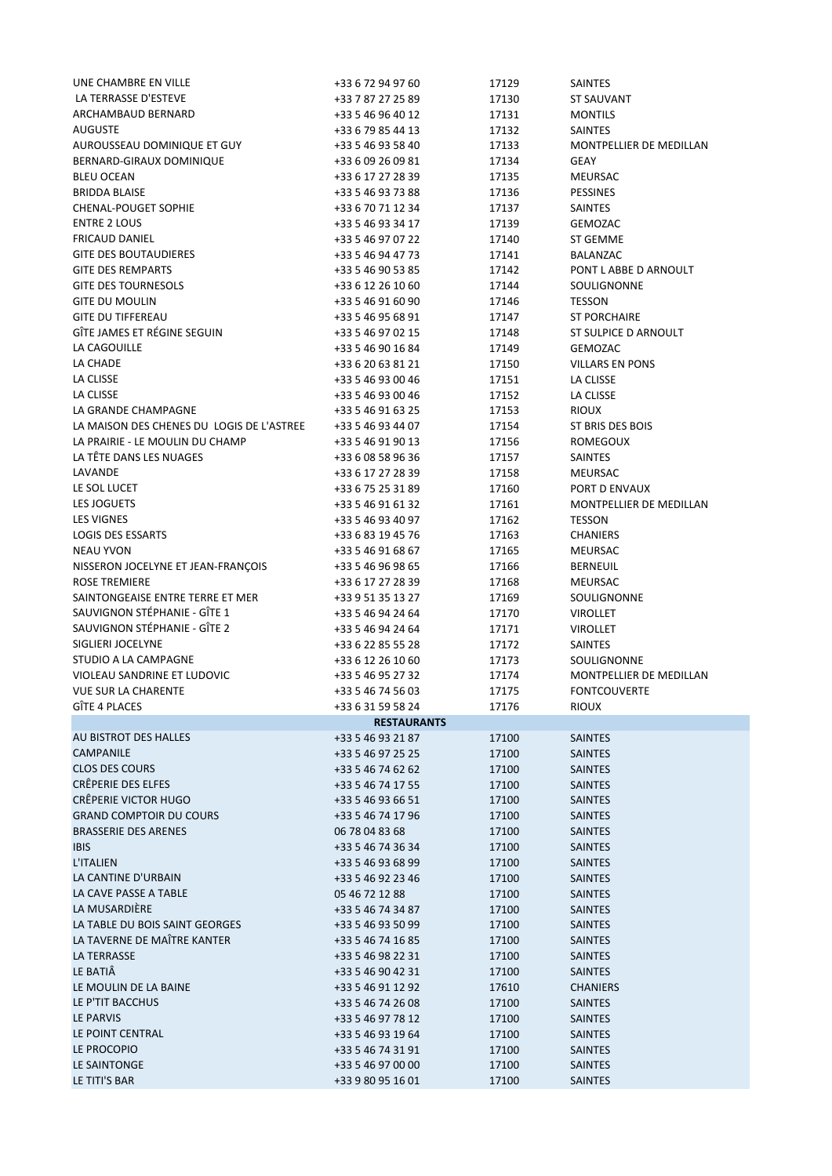| UNE CHAMBRE EN VILLE                                     | +33 6 72 94 97 60                      | 17129          | <b>SAINTES</b>                 |
|----------------------------------------------------------|----------------------------------------|----------------|--------------------------------|
| LA TERRASSE D'ESTEVE                                     | +33 7 87 27 25 89                      | 17130          | <b>ST SAUVANT</b>              |
| ARCHAMBAUD BERNARD                                       | +33 5 46 96 40 12                      | 17131          | <b>MONTILS</b>                 |
| <b>AUGUSTE</b>                                           | +33 6 79 85 44 13                      | 17132          | <b>SAINTES</b>                 |
| AUROUSSEAU DOMINIQUE ET GUY                              | +33 5 46 93 58 40                      | 17133          | <b>MONTPELLIER DE MEDILLAN</b> |
| BERNARD-GIRAUX DOMINIQUE                                 | +33 6 09 26 09 81                      | 17134          | <b>GEAY</b>                    |
| <b>BLEU OCEAN</b>                                        | +33 6 17 27 28 39                      | 17135          | MEURSAC                        |
| <b>BRIDDA BLAISE</b>                                     | +33 5 46 93 73 88                      | 17136          | <b>PESSINES</b>                |
| <b>CHENAL-POUGET SOPHIE</b>                              | +33 6 70 71 12 34                      | 17137          | <b>SAINTES</b>                 |
| <b>ENTRE 2 LOUS</b>                                      | +33 5 46 93 34 17                      | 17139          | GEMOZAC                        |
| <b>FRICAUD DANIEL</b>                                    | +33 5 46 97 07 22                      | 17140          | ST GEMME                       |
| <b>GITE DES BOUTAUDIERES</b>                             | +33 5 46 94 47 73                      | 17141          | BALANZAC                       |
| <b>GITE DES REMPARTS</b>                                 | +33 5 46 90 53 85                      | 17142          | PONT L ABBE D ARNOULT          |
| <b>GITE DES TOURNESOLS</b>                               | +33 6 12 26 10 60                      | 17144          | SOULIGNONNE                    |
| <b>GITE DU MOULIN</b>                                    | +33 5 46 91 60 90                      | 17146          | <b>TESSON</b>                  |
| <b>GITE DU TIFFEREAU</b>                                 | +33 5 46 95 68 91                      | 17147          | <b>ST PORCHAIRE</b>            |
| GÎTE JAMES ET RÉGINE SEGUIN                              | +33 5 46 97 02 15                      | 17148          | ST SULPICE D ARNOULT           |
| LA CAGOUILLE                                             | +33 5 46 90 16 84                      | 17149          | <b>GEMOZAC</b>                 |
| LA CHADE                                                 | +33 6 20 63 81 21                      | 17150          | <b>VILLARS EN PONS</b>         |
| LA CLISSE                                                | +33 5 46 93 00 46                      | 17151          | LA CLISSE                      |
| LA CLISSE                                                | +33 5 46 93 00 46                      | 17152          | LA CLISSE                      |
| LA GRANDE CHAMPAGNE                                      | +33 5 46 91 63 25                      | 17153          | <b>RIOUX</b>                   |
| LA MAISON DES CHENES DU LOGIS DE L'ASTREE                | +33 5 46 93 44 07                      | 17154          | ST BRIS DES BOIS               |
| LA PRAIRIE - LE MOULIN DU CHAMP                          | +33 5 46 91 90 13                      | 17156          | <b>ROMEGOUX</b>                |
| LA TÊTE DANS LES NUAGES                                  | +33 6 08 58 96 36                      | 17157          | <b>SAINTES</b>                 |
| LAVANDE                                                  | +33 6 17 27 28 39                      | 17158          | <b>MEURSAC</b>                 |
| LE SOL LUCET                                             | +33 6 75 25 31 89                      | 17160          | PORT D ENVAUX                  |
| LES JOGUETS                                              | +33 5 46 91 61 32                      | 17161          | MONTPELLIER DE MEDILLAN        |
| <b>LES VIGNES</b>                                        | +33 5 46 93 40 97                      | 17162          | <b>TESSON</b>                  |
| <b>LOGIS DES ESSARTS</b>                                 | +33 6 83 19 45 76                      | 17163          | <b>CHANIERS</b>                |
| <b>NEAU YVON</b>                                         | +33 5 46 91 68 67                      | 17165          | MEURSAC                        |
| NISSERON JOCELYNE ET JEAN-FRANÇOIS                       | +33 5 46 96 98 65                      | 17166          | <b>BERNEUIL</b>                |
| <b>ROSE TREMIERE</b><br>SAINTONGEAISE ENTRE TERRE ET MER | +33 6 17 27 28 39                      | 17168          | MEURSAC                        |
| SAUVIGNON STÉPHANIE - GÎTE 1                             | +33 9 51 35 13 27<br>+33 5 46 94 24 64 | 17169<br>17170 | SOULIGNONNE<br><b>VIROLLET</b> |
| SAUVIGNON STÉPHANIE - GÎTE 2                             | +33 5 46 94 24 64                      | 17171          | <b>VIROLLET</b>                |
| SIGLIERI JOCELYNE                                        | +33 6 22 85 55 28                      | 17172          | <b>SAINTES</b>                 |
| STUDIO A LA CAMPAGNE                                     | +33 6 12 26 10 60                      | 17173          | SOULIGNONNE                    |
| VIOLEAU SANDRINE ET LUDOVIC                              | +33 5 46 95 27 32                      | 17174          | MONTPELLIER DE MEDILLAN        |
| <b>VUE SUR LA CHARENTE</b>                               | +33 5 46 74 56 03                      | 17175          | <b>FONTCOUVERTE</b>            |
| <b>GITE 4 PLACES</b>                                     | +33 6 31 59 58 24                      | 17176          | <b>RIOUX</b>                   |
|                                                          | <b>RESTAURANTS</b>                     |                |                                |
| AU BISTROT DES HALLES                                    | +33 5 46 93 21 87                      | 17100          | <b>SAINTES</b>                 |
| CAMPANILE                                                | +33 5 46 97 25 25                      | 17100          | <b>SAINTES</b>                 |
| <b>CLOS DES COURS</b>                                    | +33 5 46 74 62 62                      | 17100          | <b>SAINTES</b>                 |
| <b>CRÊPERIE DES ELFES</b>                                | +33 5 46 74 17 55                      | 17100          | <b>SAINTES</b>                 |
| CRÊPERIE VICTOR HUGO                                     | +33 5 46 93 66 51                      | 17100          | <b>SAINTES</b>                 |
| <b>GRAND COMPTOIR DU COURS</b>                           | +33 5 46 74 17 96                      | 17100          | <b>SAINTES</b>                 |
| <b>BRASSERIE DES ARENES</b>                              | 06 78 04 83 68                         | 17100          | <b>SAINTES</b>                 |
| <b>IBIS</b>                                              | +33 5 46 74 36 34                      | 17100          | <b>SAINTES</b>                 |
| <b>L'ITALIEN</b>                                         | +33 5 46 93 68 99                      | 17100          | <b>SAINTES</b>                 |
| LA CANTINE D'URBAIN                                      | +33 5 46 92 23 46                      | 17100          | <b>SAINTES</b>                 |
| LA CAVE PASSE A TABLE                                    | 05 46 72 12 88                         | 17100          | <b>SAINTES</b>                 |
| LA MUSARDIÈRE                                            | +33 5 46 74 34 87                      | 17100          | <b>SAINTES</b>                 |
| LA TABLE DU BOIS SAINT GEORGES                           | +33 5 46 93 50 99                      | 17100          | <b>SAINTES</b>                 |
| LA TAVERNE DE MAÎTRE KANTER                              | +33 5 46 74 16 85                      | 17100          | <b>SAINTES</b>                 |
| LA TERRASSE                                              | +33 5 46 98 22 31                      | 17100          | <b>SAINTES</b>                 |
| LE BATIÂ                                                 | +33 5 46 90 42 31                      | 17100          | <b>SAINTES</b>                 |
| LE MOULIN DE LA BAINE                                    | +33 5 46 91 12 92                      | 17610          | <b>CHANIERS</b>                |
| LE P'TIT BACCHUS                                         | +33 5 46 74 26 08                      | 17100          | <b>SAINTES</b>                 |
| LE PARVIS                                                | +33 5 46 97 78 12                      | 17100          | SAINTES                        |
| LE POINT CENTRAL                                         | +33 5 46 93 19 64                      | 17100          | <b>SAINTES</b>                 |
| LE PROCOPIO                                              | +33 5 46 74 31 91                      | 17100          | <b>SAINTES</b>                 |
| LE SAINTONGE                                             | +33 5 46 97 00 00                      | 17100          | <b>SAINTES</b>                 |
| LE TITI'S BAR                                            | +33 9 80 95 16 01                      | 17100          | <b>SAINTES</b>                 |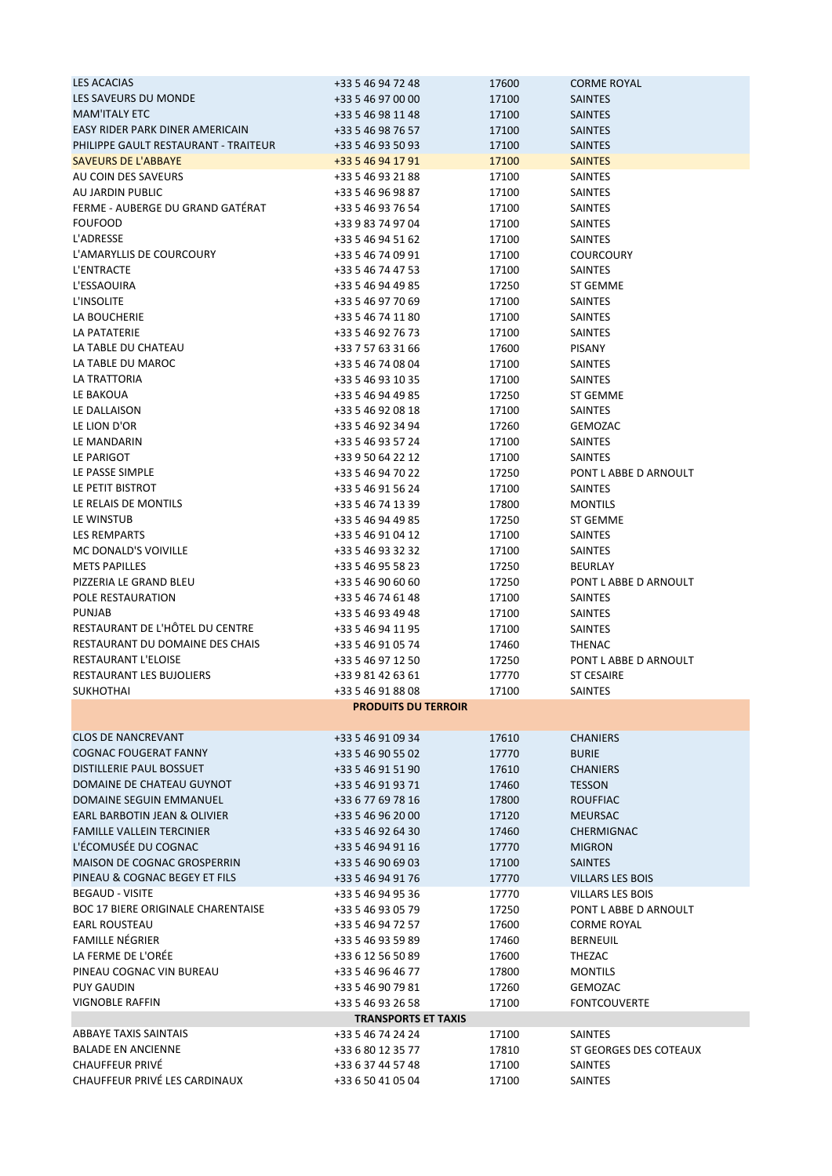| <b>LES ACACIAS</b>                        | +33 5 46 94 72 48          | 17600 | <b>CORME ROYAL</b>      |
|-------------------------------------------|----------------------------|-------|-------------------------|
|                                           |                            |       |                         |
| LES SAVEURS DU MONDE                      | +33 5 46 97 00 00          | 17100 | <b>SAINTES</b>          |
| <b>MAM'ITALY ETC</b>                      | +33 5 46 98 11 48          | 17100 | <b>SAINTES</b>          |
| EASY RIDER PARK DINER AMERICAIN           | +33 5 46 98 76 57          | 17100 | <b>SAINTES</b>          |
| PHILIPPE GAULT RESTAURANT - TRAITEUR      | +33 5 46 93 50 93          | 17100 | <b>SAINTES</b>          |
| <b>SAVEURS DE L'ABBAYE</b>                | +33 5 46 94 17 91          | 17100 | <b>SAINTES</b>          |
| AU COIN DES SAVEURS                       | +33 5 46 93 21 88          | 17100 | <b>SAINTES</b>          |
| AU JARDIN PUBLIC                          | +33 5 46 96 98 87          | 17100 | <b>SAINTES</b>          |
| FERME - AUBERGE DU GRAND GATÉRAT          | +33 5 46 93 76 54          | 17100 | <b>SAINTES</b>          |
| <b>FOUFOOD</b>                            | +33 9 83 74 97 04          | 17100 | <b>SAINTES</b>          |
| L'ADRESSE                                 | +33 5 46 94 51 62          | 17100 | <b>SAINTES</b>          |
| L'AMARYLLIS DE COURCOURY                  | +33 5 46 74 09 91          | 17100 | <b>COURCOURY</b>        |
| L'ENTRACTE                                | +33 5 46 74 47 53          | 17100 | <b>SAINTES</b>          |
|                                           |                            |       |                         |
| L'ESSAOUIRA                               | +33 5 46 94 49 85          | 17250 | <b>ST GEMME</b>         |
| L'INSOLITE                                | +33 5 46 97 70 69          | 17100 | <b>SAINTES</b>          |
| LA BOUCHERIE                              | +33 5 46 74 11 80          | 17100 | <b>SAINTES</b>          |
| LA PATATERIE                              | +33 5 46 92 76 73          | 17100 | <b>SAINTES</b>          |
| LA TABLE DU CHATEAU                       | +33 7 57 63 31 66          | 17600 | <b>PISANY</b>           |
| LA TABLE DU MAROC                         | +33 5 46 74 08 04          | 17100 | <b>SAINTES</b>          |
| LA TRATTORIA                              | +33 5 46 93 10 35          | 17100 | SAINTES                 |
| LE BAKOUA                                 | +33 5 46 94 49 85          | 17250 | <b>ST GEMME</b>         |
| LE DALLAISON                              | +33 5 46 92 08 18          | 17100 | <b>SAINTES</b>          |
| LE LION D'OR                              | +33 5 46 92 34 94          | 17260 | <b>GEMOZAC</b>          |
| LE MANDARIN                               | +33 5 46 93 57 24          | 17100 | <b>SAINTES</b>          |
| LE PARIGOT                                | +33 9 50 64 22 12          | 17100 | <b>SAINTES</b>          |
| LE PASSE SIMPLE                           | +33 5 46 94 70 22          | 17250 | PONT L ABBE D ARNOULT   |
|                                           |                            |       |                         |
| LE PETIT BISTROT                          | +33 5 46 91 56 24          | 17100 | <b>SAINTES</b>          |
| LE RELAIS DE MONTILS                      | +33 5 46 74 13 39          | 17800 | <b>MONTILS</b>          |
| LE WINSTUB                                | +33 5 46 94 49 85          | 17250 | ST GEMME                |
| <b>LES REMPARTS</b>                       | +33 5 46 91 04 12          | 17100 | <b>SAINTES</b>          |
| MC DONALD'S VOIVILLE                      | +33 5 46 93 32 32          | 17100 | SAINTES                 |
| <b>METS PAPILLES</b>                      | +33 5 46 95 58 23          | 17250 | <b>BEURLAY</b>          |
| PIZZERIA LE GRAND BLEU                    | +33 5 46 90 60 60          | 17250 | PONT L ABBE D ARNOULT   |
| POLE RESTAURATION                         | +33 5 46 74 61 48          | 17100 | <b>SAINTES</b>          |
| <b>PUNJAB</b>                             | +33 5 46 93 49 48          | 17100 | <b>SAINTES</b>          |
| RESTAURANT DE L'HÔTEL DU CENTRE           | +33 5 46 94 11 95          | 17100 | <b>SAINTES</b>          |
| RESTAURANT DU DOMAINE DES CHAIS           | +33 5 46 91 05 74          | 17460 | THENAC                  |
| RESTAURANT L'ELOISE                       | +33 5 46 97 12 50          | 17250 | PONT L ABBE D ARNOULT   |
| RESTAURANT LES BUJOLIERS                  | +33 9 81 42 63 61          | 17770 | <b>ST CESAIRE</b>       |
| <b>SUKHOTHAI</b>                          | +33 5 46 91 88 08          | 17100 | <b>SAINTES</b>          |
|                                           |                            |       |                         |
|                                           | <b>PRODUITS DU TERROIR</b> |       |                         |
| <b>CLOS DE NANCREVANT</b>                 | +33 5 46 91 09 34          | 17610 | <b>CHANIERS</b>         |
| <b>COGNAC FOUGERAT FANNY</b>              | +33 5 46 90 55 02          | 17770 | <b>BURIE</b>            |
| DISTILLERIE PAUL BOSSUET                  | +33 5 46 91 51 90          | 17610 | <b>CHANIERS</b>         |
| DOMAINE DE CHATEAU GUYNOT                 | +33 5 46 91 93 71          | 17460 | <b>TESSON</b>           |
| DOMAINE SEGUIN EMMANUEL                   | +33 6 77 69 78 16          | 17800 | <b>ROUFFIAC</b>         |
| EARL BARBOTIN JEAN & OLIVIER              | +33 5 46 96 20 00          | 17120 |                         |
|                                           |                            |       | <b>MEURSAC</b>          |
| <b>FAMILLE VALLEIN TERCINIER</b>          | +33 5 46 92 64 30          | 17460 | CHERMIGNAC              |
| L'ÉCOMUSÉE DU COGNAC                      | +33 5 46 94 91 16          | 17770 | <b>MIGRON</b>           |
| MAISON DE COGNAC GROSPERRIN               | +33 5 46 90 69 03          | 17100 | <b>SAINTES</b>          |
| PINEAU & COGNAC BEGEY ET FILS             | +33 5 46 94 91 76          | 17770 | <b>VILLARS LES BOIS</b> |
| <b>BEGAUD - VISITE</b>                    | +33 5 46 94 95 36          | 17770 | VILLARS LES BOIS        |
| <b>BOC 17 BIERE ORIGINALE CHARENTAISE</b> | +33 5 46 93 05 79          | 17250 | PONT L ABBE D ARNOULT   |
| <b>EARL ROUSTEAU</b>                      | +33 5 46 94 72 57          | 17600 | <b>CORME ROYAL</b>      |
| <b>FAMILLE NÉGRIER</b>                    | +33 5 46 93 59 89          | 17460 | <b>BERNEUIL</b>         |
| LA FERME DE L'ORÉE                        | +33 6 12 56 50 89          | 17600 | THEZAC                  |
| PINEAU COGNAC VIN BUREAU                  | +33 5 46 96 46 77          | 17800 | <b>MONTILS</b>          |
| <b>PUY GAUDIN</b>                         | +33 5 46 90 79 81          | 17260 | GEMOZAC                 |
| <b>VIGNOBLE RAFFIN</b>                    | +33 5 46 93 26 58          | 17100 | <b>FONTCOUVERTE</b>     |
|                                           | <b>TRANSPORTS ET TAXIS</b> |       |                         |
| <b>ABBAYE TAXIS SAINTAIS</b>              | +33 5 46 74 24 24          | 17100 | <b>SAINTES</b>          |
| <b>BALADE EN ANCIENNE</b>                 | +33 6 80 12 35 77          | 17810 | ST GEORGES DES COTEAUX  |
| CHAUFFEUR PRIVÉ                           | +33 6 37 44 57 48          | 17100 | <b>SAINTES</b>          |
| CHAUFFEUR PRIVÉ LES CARDINAUX             |                            |       |                         |
|                                           | +33 6 50 41 05 04          | 17100 | SAINTES                 |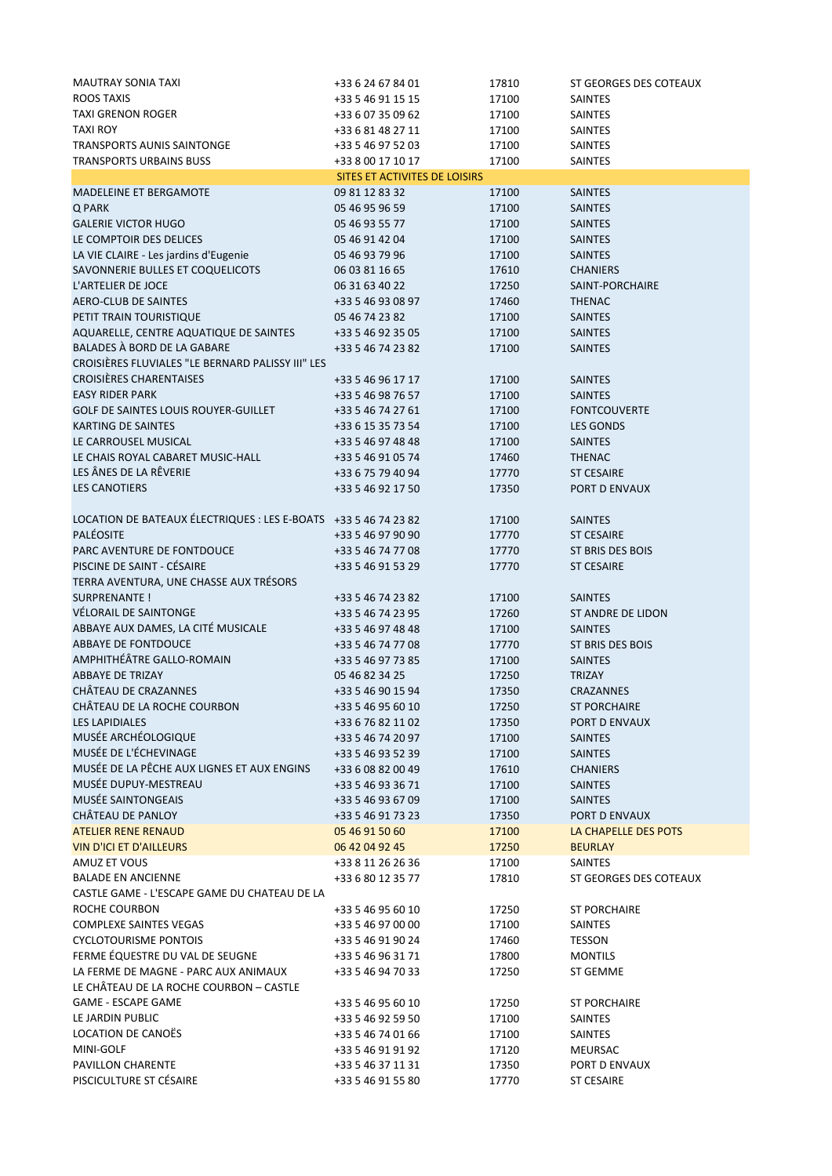| <b>MAUTRAY SONIA TAXI</b>                                       | +33 6 24 67 84 01                      | 17810          | ST GEORGES DES COTEAUX            |
|-----------------------------------------------------------------|----------------------------------------|----------------|-----------------------------------|
| ROOS TAXIS                                                      | +33 5 46 91 15 15                      | 17100          | <b>SAINTES</b>                    |
| <b>TAXI GRENON ROGER</b>                                        | +33 6 07 35 09 62                      | 17100          | SAINTES                           |
| <b>TAXI ROY</b>                                                 | +33 6 81 48 27 11                      | 17100          | SAINTES                           |
| TRANSPORTS AUNIS SAINTONGE                                      | +33 5 46 97 52 03                      | 17100          | SAINTES                           |
| <b>TRANSPORTS URBAINS BUSS</b>                                  | +33 8 00 17 10 17                      | 17100          | <b>SAINTES</b>                    |
|                                                                 | SITES ET ACTIVITES DE LOISIRS          |                |                                   |
| MADELEINE ET BERGAMOTE                                          | 09 81 12 83 32                         | 17100          | <b>SAINTES</b>                    |
| Q PARK                                                          | 05 46 95 96 59                         | 17100          | <b>SAINTES</b>                    |
| <b>GALERIE VICTOR HUGO</b>                                      | 05 46 93 55 77                         | 17100          | <b>SAINTES</b>                    |
| LE COMPTOIR DES DELICES                                         | 05 46 91 42 04                         | 17100          | <b>SAINTES</b>                    |
| LA VIE CLAIRE - Les jardins d'Eugenie                           | 05 46 93 79 96                         | 17100          | <b>SAINTES</b>                    |
| SAVONNERIE BULLES ET COQUELICOTS                                | 06 03 81 16 65                         | 17610          | <b>CHANIERS</b>                   |
| L'ARTELIER DE JOCE                                              | 06 31 63 40 22                         | 17250          | SAINT-PORCHAIRE                   |
| AERO-CLUB DE SAINTES<br>PETIT TRAIN TOURISTIQUE                 | +33 5 46 93 08 97<br>05 46 74 23 82    | 17460          | <b>THENAC</b><br><b>SAINTES</b>   |
| AQUARELLE, CENTRE AQUATIQUE DE SAINTES                          | +33 5 46 92 35 05                      | 17100<br>17100 | <b>SAINTES</b>                    |
| BALADES À BORD DE LA GABARE                                     | +33 5 46 74 23 82                      | 17100          | <b>SAINTES</b>                    |
| CROISIÈRES FLUVIALES "LE BERNARD PALISSY III" LES               |                                        |                |                                   |
| <b>CROISIÈRES CHARENTAISES</b>                                  | +33 5 46 96 17 17                      | 17100          | <b>SAINTES</b>                    |
| <b>EASY RIDER PARK</b>                                          | +33 5 46 98 76 57                      | 17100          | <b>SAINTES</b>                    |
| GOLF DE SAINTES LOUIS ROUYER-GUILLET                            | +33 5 46 74 27 61                      | 17100          | <b>FONTCOUVERTE</b>               |
| <b>KARTING DE SAINTES</b>                                       | +33 6 15 35 73 54                      | 17100          | <b>LES GONDS</b>                  |
| LE CARROUSEL MUSICAL                                            | +33 5 46 97 48 48                      | 17100          | <b>SAINTES</b>                    |
| LE CHAIS ROYAL CABARET MUSIC-HALL                               | +33 5 46 91 05 74                      | 17460          | <b>THENAC</b>                     |
| LES ÂNES DE LA RÊVERIE                                          | +33 6 75 79 40 94                      | 17770          | <b>ST CESAIRE</b>                 |
| <b>LES CANOTIERS</b>                                            | +33 5 46 92 17 50                      | 17350          | PORT D ENVAUX                     |
|                                                                 |                                        |                |                                   |
| LOCATION DE BATEAUX ÉLECTRIQUES : LES E-BOATS +33 5 46 74 23 82 |                                        | 17100          | SAINTES                           |
| <b>PALÉOSITE</b>                                                | +33 5 46 97 90 90                      | 17770          | <b>ST CESAIRE</b>                 |
| PARC AVENTURE DE FONTDOUCE                                      | +33 5 46 74 77 08                      | 17770          | ST BRIS DES BOIS                  |
| PISCINE DE SAINT - CÉSAIRE                                      | +33 5 46 91 53 29                      | 17770          | <b>ST CESAIRE</b>                 |
| TERRA AVENTURA, UNE CHASSE AUX TRÉSORS                          |                                        |                |                                   |
| SURPRENANTE !                                                   | +33 5 46 74 23 82                      | 17100          | <b>SAINTES</b>                    |
| VÉLORAIL DE SAINTONGE                                           | +33 5 46 74 23 95                      | 17260          | ST ANDRE DE LIDON                 |
| ABBAYE AUX DAMES, LA CITÉ MUSICALE                              | +33 5 46 97 48 48                      | 17100          | <b>SAINTES</b>                    |
| <b>ABBAYE DE FONTDOUCE</b>                                      | +33 5 46 74 77 08                      | 17770          | ST BRIS DES BOIS                  |
| AMPHITHÉÂTRE GALLO-ROMAIN                                       | +33 5 46 97 73 85                      | 17100          | <b>SAINTES</b>                    |
| <b>ABBAYE DE TRIZAY</b>                                         | 05 46 82 34 25                         | 17250          | <b>TRIZAY</b>                     |
| CHÂTEAU DE CRAZANNES                                            | +33 5 46 90 15 94                      | 17350          | <b>CRAZANNES</b>                  |
| CHÂTEAU DE LA ROCHE COURBON                                     | +33 5 46 95 60 10                      | 17250          | <b>ST PORCHAIRE</b>               |
| <b>LES LAPIDIALES</b><br>MUSÉE ARCHÉOLOGIQUE                    | +33 6 76 82 11 02                      | 17350          | PORT D ENVAUX                     |
| MUSÉE DE L'ÉCHEVINAGE                                           | +33 5 46 74 20 97                      | 17100          | <b>SAINTES</b>                    |
| MUSÉE DE LA PÊCHE AUX LIGNES ET AUX ENGINS                      | +33 5 46 93 52 39<br>+33 6 08 82 00 49 | 17100          | <b>SAINTES</b>                    |
| MUSÉE DUPUY-MESTREAU                                            | +33 5 46 93 36 71                      | 17610<br>17100 | <b>CHANIERS</b><br><b>SAINTES</b> |
| MUSÉE SAINTONGEAIS                                              | +33 5 46 93 67 09                      | 17100          | <b>SAINTES</b>                    |
| CHÂTEAU DE PANLOY                                               | +33 5 46 91 73 23                      | 17350          | PORT D ENVAUX                     |
| <b>ATELIER RENE RENAUD</b>                                      | 05 46 91 50 60                         | 17100          | LA CHAPELLE DES POTS              |
| <b>VIN D'ICI ET D'AILLEURS</b>                                  | 06 42 04 92 45                         | 17250          | <b>BEURLAY</b>                    |
| AMUZ ET VOUS                                                    | +33 8 11 26 26 36                      | 17100          | <b>SAINTES</b>                    |
| <b>BALADE EN ANCIENNE</b>                                       | +33 6 80 12 35 77                      | 17810          | ST GEORGES DES COTEAUX            |
| CASTLE GAME - L'ESCAPE GAME DU CHATEAU DE LA                    |                                        |                |                                   |
| ROCHE COURBON                                                   | +33 5 46 95 60 10                      | 17250          | <b>ST PORCHAIRE</b>               |
| <b>COMPLEXE SAINTES VEGAS</b>                                   | +33 5 46 97 00 00                      | 17100          | <b>SAINTES</b>                    |
| <b>CYCLOTOURISME PONTOIS</b>                                    | +33 5 46 91 90 24                      | 17460          | <b>TESSON</b>                     |
| FERME ÉQUESTRE DU VAL DE SEUGNE                                 | +33 5 46 96 31 71                      | 17800          | <b>MONTILS</b>                    |
| LA FERME DE MAGNE - PARC AUX ANIMAUX                            | +33 5 46 94 70 33                      | 17250          | ST GEMME                          |
| LE CHÂTEAU DE LA ROCHE COURBON - CASTLE                         |                                        |                |                                   |
| <b>GAME - ESCAPE GAME</b>                                       | +33 5 46 95 60 10                      | 17250          | ST PORCHAIRE                      |
| LE JARDIN PUBLIC                                                | +33 5 46 92 59 50                      | 17100          | <b>SAINTES</b>                    |
| LOCATION DE CANOËS                                              | +33 5 46 74 01 66                      | 17100          | <b>SAINTES</b>                    |
| MINI-GOLF                                                       | +33 5 46 91 91 92                      | 17120          | <b>MEURSAC</b>                    |
| PAVILLON CHARENTE                                               | +33 5 46 37 11 31                      | 17350          | PORT D ENVAUX                     |
| PISCICULTURE ST CÉSAIRE                                         | +33 5 46 91 55 80                      | 17770          | ST CESAIRE                        |